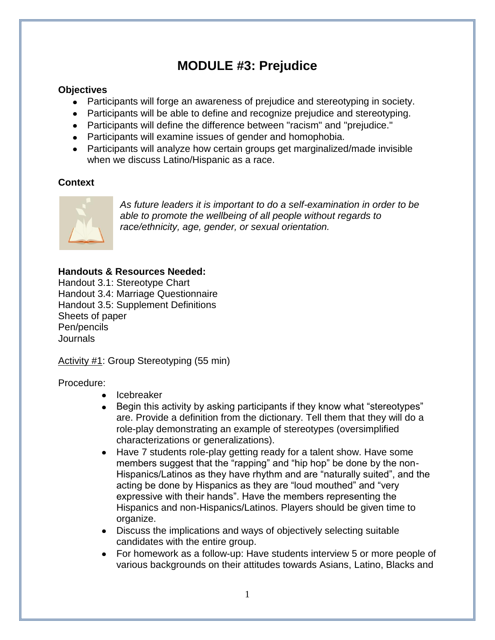# **MODULE #3: Prejudice**

#### **Objectives**

- Participants will forge an awareness of prejudice and stereotyping in society.
- Participants will be able to define and recognize prejudice and stereotyping.
- Participants will define the difference between "racism" and "prejudice."
- Participants will examine issues of gender and homophobia.
- Participants will analyze how certain groups get marginalized/made invisible when we discuss Latino/Hispanic as a race.

#### **Context**



*As future leaders it is important to do a self-examination in order to be able to promote the wellbeing of all people without regards to race/ethnicity, age, gender, or sexual orientation.* 

#### **Handouts & Resources Needed:**

Handout 3.1: Stereotype Chart Handout 3.4: Marriage Questionnaire Handout 3.5: Supplement Definitions Sheets of paper Pen/pencils **Journals** 

Activity #1: Group Stereotyping (55 min)

Procedure:

- Icebreaker
- Begin this activity by asking participants if they know what "stereotypes"  $\bullet$ are. Provide a definition from the dictionary. Tell them that they will do a role-play demonstrating an example of stereotypes (oversimplified characterizations or generalizations).
- Have 7 students role-play getting ready for a talent show. Have some  $\bullet$ members suggest that the "rapping" and "hip hop" be done by the non-Hispanics/Latinos as they have rhythm and are "naturally suited", and the acting be done by Hispanics as they are "loud mouthed" and "very expressive with their hands". Have the members representing the Hispanics and non-Hispanics/Latinos. Players should be given time to organize.
- Discuss the implications and ways of objectively selecting suitable candidates with the entire group.
- For homework as a follow-up: Have students interview 5 or more people of various backgrounds on their attitudes towards Asians, Latino, Blacks and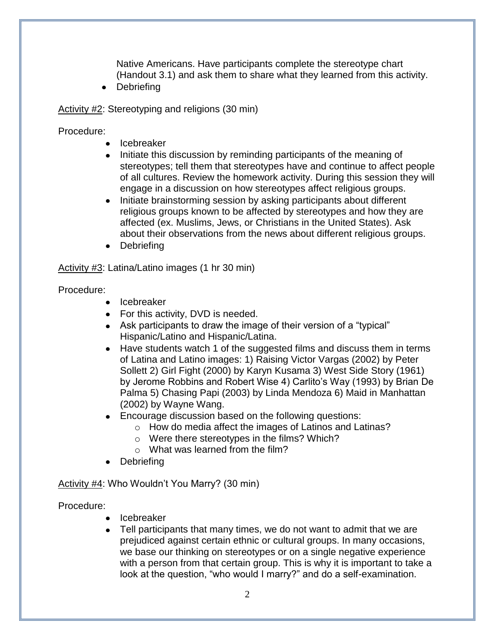Native Americans. Have participants complete the stereotype chart (Handout 3.1) and ask them to share what they learned from this activity.

Debriefing  $\bullet$ 

Activity #2: Stereotyping and religions (30 min)

Procedure:

- Icebreaker
- Initiate this discussion by reminding participants of the meaning of stereotypes; tell them that stereotypes have and continue to affect people of all cultures. Review the homework activity. During this session they will engage in a discussion on how stereotypes affect religious groups.
- Initiate brainstorming session by asking participants about different religious groups known to be affected by stereotypes and how they are affected (ex. Muslims, Jews, or Christians in the United States). Ask about their observations from the news about different religious groups.
- Debriefing

Activity #3: Latina/Latino images (1 hr 30 min)

Procedure:

- Icebreaker
- For this activity, DVD is needed.
- Ask participants to draw the image of their version of a "typical" Hispanic/Latino and Hispanic/Latina.
- Have students watch 1 of the suggested films and discuss them in terms of Latina and Latino images: 1) Raising Victor Vargas (2002) by Peter Sollett 2) Girl Fight (2000) by Karyn Kusama 3) West Side Story (1961) by Jerome Robbins and Robert Wise 4) Carlito's Way (1993) by Brian De Palma 5) Chasing Papi (2003) by Linda Mendoza 6) Maid in Manhattan (2002) by Wayne Wang.
- Encourage discussion based on the following questions:
	- o How do media affect the images of Latinos and Latinas?
	- o Were there stereotypes in the films? Which?
	- o What was learned from the film?
- Debriefing

Activity #4: Who Wouldn't You Marry? (30 min)

#### Procedure:

- Icebreaker
- Tell participants that many times, we do not want to admit that we are prejudiced against certain ethnic or cultural groups. In many occasions, we base our thinking on stereotypes or on a single negative experience with a person from that certain group. This is why it is important to take a look at the question, "who would I marry?" and do a self-examination.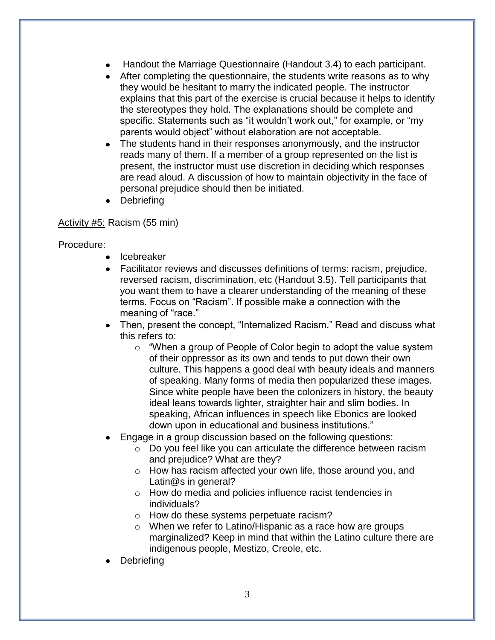- Handout the Marriage Questionnaire (Handout 3.4) to each participant.
- After completing the questionnaire, the students write reasons as to why they would be hesitant to marry the indicated people. The instructor explains that this part of the exercise is crucial because it helps to identify the stereotypes they hold. The explanations should be complete and specific. Statements such as "it wouldn't work out," for example, or "my parents would object" without elaboration are not acceptable.
- The students hand in their responses anonymously, and the instructor reads many of them. If a member of a group represented on the list is present, the instructor must use discretion in deciding which responses are read aloud. A discussion of how to maintain objectivity in the face of personal prejudice should then be initiated.
- Debriefing

#### Activity #5: Racism (55 min)

Procedure:

- Icebreaker
- Facilitator reviews and discusses definitions of terms: racism, prejudice, reversed racism, discrimination, etc (Handout 3.5). Tell participants that you want them to have a clearer understanding of the meaning of these terms. Focus on "Racism". If possible make a connection with the meaning of "race."
- Then, present the concept, "Internalized Racism." Read and discuss what this refers to:
	- o "When a group of People of Color begin to adopt the value system of their oppressor as its own and tends to put down their own culture. This happens a good deal with beauty ideals and manners of speaking. Many forms of media then popularized these images. Since white people have been the colonizers in history, the beauty ideal leans towards lighter, straighter hair and slim bodies. In speaking, African influences in speech like Ebonics are looked down upon in educational and business institutions."
- Engage in a group discussion based on the following questions:
	- o Do you feel like you can articulate the difference between racism and prejudice? What are they?
	- o How has racism affected your own life, those around you, and Latin@s in general?
	- o How do media and policies influence racist tendencies in individuals?
	- o How do these systems perpetuate racism?
	- o When we refer to Latino/Hispanic as a race how are groups marginalized? Keep in mind that within the Latino culture there are indigenous people, Mestizo, Creole, etc.
- **Debriefing**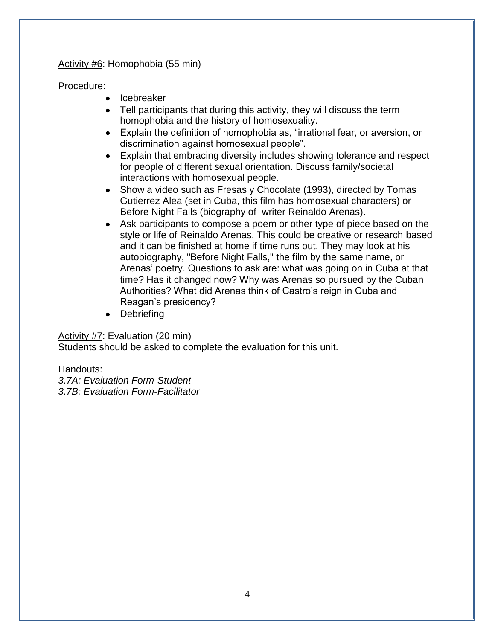#### Activity #6: Homophobia (55 min)

#### Procedure:

- Icebreaker
- Tell participants that during this activity, they will discuss the term homophobia and the history of homosexuality.
- Explain the definition of homophobia as, "irrational fear, or aversion, or discrimination against homosexual people".
- Explain that embracing diversity includes showing tolerance and respect for people of different sexual orientation. Discuss family/societal interactions with homosexual people.
- Show a video such as Fresas y Chocolate (1993), directed by Tomas Gutierrez Alea (set in Cuba, this film has homosexual characters) or Before Night Falls (biography of writer Reinaldo Arenas).
- Ask participants to compose a poem or other type of piece based on the style or life of Reinaldo Arenas. This could be creative or research based and it can be finished at home if time runs out. They may look at his autobiography, "Before Night Falls," the film by the same name, or Arenas' poetry. Questions to ask are: what was going on in Cuba at that time? Has it changed now? Why was Arenas so pursued by the Cuban Authorities? What did Arenas think of Castro's reign in Cuba and Reagan's presidency?
- Debriefing

#### Activity #7: Evaluation (20 min)

Students should be asked to complete the evaluation for this unit.

#### Handouts:

*3.7A: Evaluation Form-Student 3.7B: Evaluation Form-Facilitator*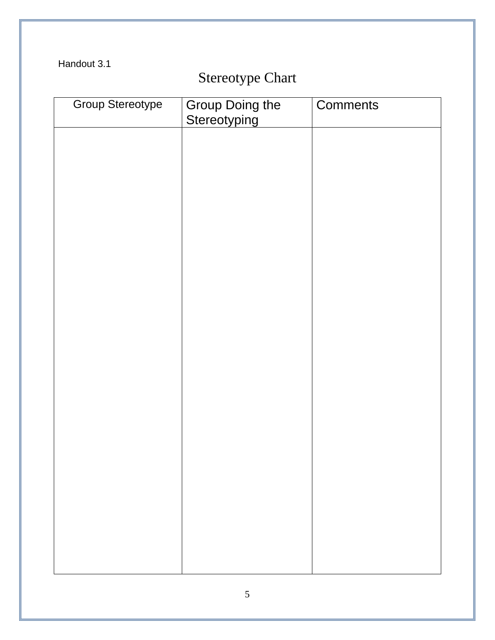Handout 3.1

# Stereotype Chart

| <b>Group Stereotype</b> | Group Doing the<br>Stereotyping | Comments |
|-------------------------|---------------------------------|----------|
|                         |                                 |          |
|                         |                                 |          |
|                         |                                 |          |
|                         |                                 |          |
|                         |                                 |          |
|                         |                                 |          |
|                         |                                 |          |
|                         |                                 |          |
|                         |                                 |          |
|                         |                                 |          |
|                         |                                 |          |
|                         |                                 |          |
|                         |                                 |          |
|                         |                                 |          |
|                         |                                 |          |
|                         |                                 |          |
|                         |                                 |          |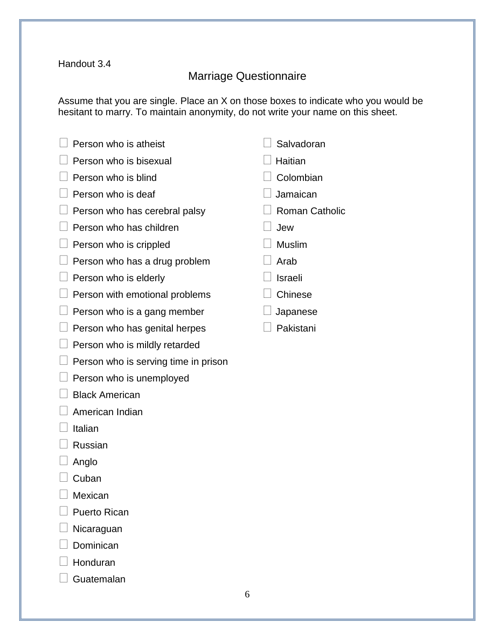#### Handout 3.4

# Marriage Questionnaire

Assume that you are single. Place an X on those boxes to indicate who you would be hesitant to marry. To maintain anonymity, do not write your name on this sheet.

| Person who is atheist                | Salvadoran            |
|--------------------------------------|-----------------------|
| Person who is bisexual               | Haitian               |
| Person who is blind                  | Colombian             |
| Person who is deaf                   | Jamaican              |
| Person who has cerebral palsy        | <b>Roman Catholic</b> |
| Person who has children              | Jew                   |
| Person who is crippled               | <b>Muslim</b>         |
| Person who has a drug problem        | Arab                  |
| Person who is elderly                | Israeli               |
| Person with emotional problems       | Chinese               |
| Person who is a gang member          | Japanese              |
| Person who has genital herpes        | Pakistani             |
| Person who is mildly retarded        |                       |
| Person who is serving time in prison |                       |

- $\Box$  Person who is unemployed
- $\Box$  Black American
- $\Box$  American Indian
- $\Box$  Italian
- $\Box$  Russian
- $\Box$  Anglo
- $\Box$  Cuban
- □ Mexican
- $\Box$  Puerto Rican
- $\Box$  Nicaraguan
- $\Box$  Dominican
- $\Box$  Honduran
- $\Box$  Guatemalan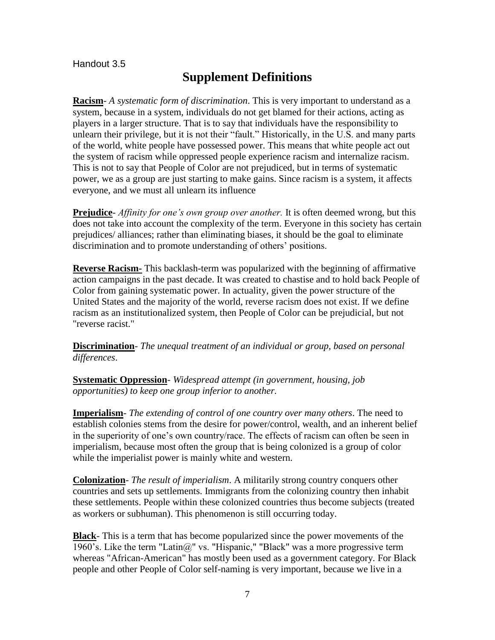Handout 3.5

### **Supplement Definitions**

**Racism**- *A systematic form of discrimination*. This is very important to understand as a system, because in a system, individuals do not get blamed for their actions, acting as players in a larger structure. That is to say that individuals have the responsibility to unlearn their privilege, but it is not their "fault." Historically, in the U.S. and many parts of the world, white people have possessed power. This means that white people act out the system of racism while oppressed people experience racism and internalize racism. This is not to say that People of Color are not prejudiced, but in terms of systematic power, we as a group are just starting to make gains. Since racism is a system, it affects everyone, and we must all unlearn its influence

**Prejudice**- *Affinity for one's own group over another.* It is often deemed wrong, but this does not take into account the complexity of the term. Everyone in this society has certain prejudices/ alliances; rather than eliminating biases, it should be the goal to eliminate discrimination and to promote understanding of others' positions.

**Reverse Racism-** This backlash-term was popularized with the beginning of affirmative action campaigns in the past decade. It was created to chastise and to hold back People of Color from gaining systematic power. In actuality, given the power structure of the United States and the majority of the world, reverse racism does not exist. If we define racism as an institutionalized system, then People of Color can be prejudicial, but not "reverse racist."

**Discrimination**- *The unequal treatment of an individual or group, based on personal differences*.

**Systematic Oppression**- *Widespread attempt (in government, housing, job opportunities) to keep one group inferior to another.*

**Imperialism**- *The extending of control of one country over many others*. The need to establish colonies stems from the desire for power/control, wealth, and an inherent belief in the superiority of one's own country/race. The effects of racism can often be seen in imperialism, because most often the group that is being colonized is a group of color while the imperialist power is mainly white and western.

**Colonization**- *The result of imperialism*. A militarily strong country conquers other countries and sets up settlements. Immigrants from the colonizing country then inhabit these settlements. People within these colonized countries thus become subjects (treated as workers or subhuman). This phenomenon is still occurring today.

**Black**- This is a term that has become popularized since the power movements of the 1960's. Like the term "Latin $@$ " vs. "Hispanic," "Black" was a more progressive term whereas "African-American" has mostly been used as a government category. For Black people and other People of Color self-naming is very important, because we live in a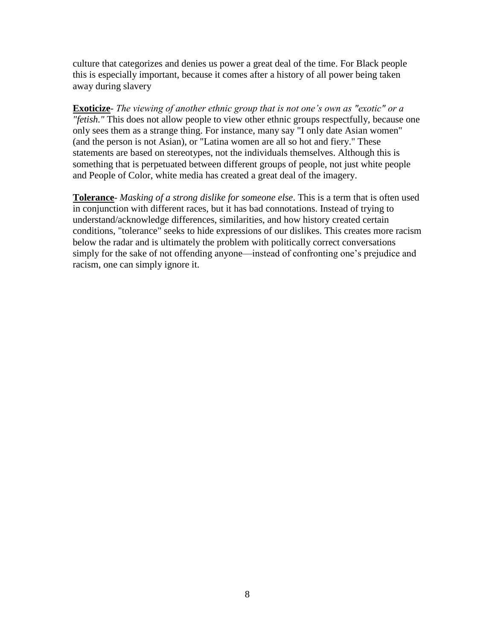culture that categorizes and denies us power a great deal of the time. For Black people this is especially important, because it comes after a history of all power being taken away during slavery

**Exoticize**- *The viewing of another ethnic group that is not one's own as "exotic" or a "fetish."* This does not allow people to view other ethnic groups respectfully, because one only sees them as a strange thing. For instance, many say "I only date Asian women" (and the person is not Asian), or "Latina women are all so hot and fiery." These statements are based on stereotypes, not the individuals themselves. Although this is something that is perpetuated between different groups of people, not just white people and People of Color, white media has created a great deal of the imagery.

**Tolerance**- *Masking of a strong dislike for someone else*. This is a term that is often used in conjunction with different races, but it has bad connotations. Instead of trying to understand/acknowledge differences, similarities, and how history created certain conditions, "tolerance" seeks to hide expressions of our dislikes. This creates more racism below the radar and is ultimately the problem with politically correct conversations simply for the sake of not offending anyone—instead of confronting one's prejudice and racism, one can simply ignore it.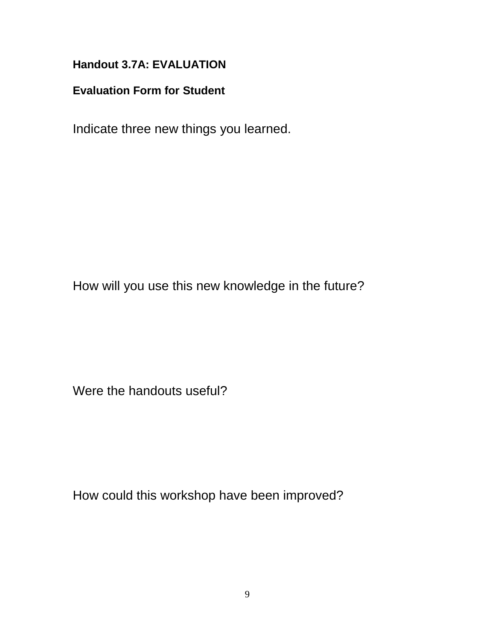# **Handout 3.7A: EVALUATION**

## **Evaluation Form for Student**

Indicate three new things you learned.

How will you use this new knowledge in the future?

Were the handouts useful?

How could this workshop have been improved?